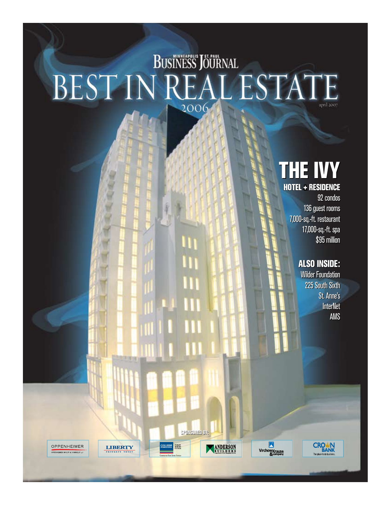## **BUSINESS JOURNAL** BEST IN REAL ESTATE 2006 april 2007

III

m

Ш

## THE IVY THE IVY

HOTEL & RESIDENCE HOTEL + RESIDENCE 92 condos 92 condos 136 guest rooms 136 guest rooms 7,000-sq.-ft. restaurant 7,000-sq.-ft. restaurant 17,000-sq.-ft. spa 17,000-sq.-ft. spa \$95 million \$95 million

### ALSO INSIDE: ALSO INSIDE:

Wilder Foundation 225 South Sixth Wilder Foundation225 South Sixth St. Anne's St. Anne's InterNet InterNet AMS AMS

**CROWN** 

OPPENHEIMER **OPPENHEIMER WOLFF & DONNELLY II** 

**SPONSORED BY: SPONSORED BY:**

ANDERSON

**COLLIERS** 

TURLEY<br>MARTIN

**LIBERTY** 

**X**<br>Virchow Krause